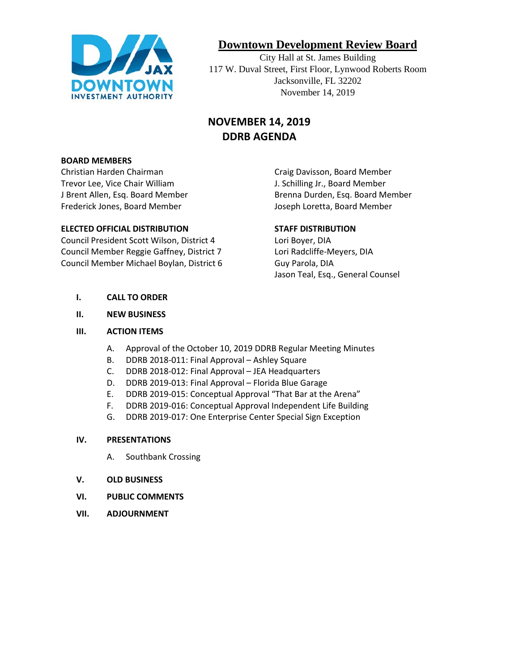

# **Downtown Development Review Board**

City Hall at St. James Building 117 W. Duval Street, First Floor, Lynwood Roberts Room Jacksonville, FL 32202 November 14, 2019

# **NOVEMBER 14, 2019 DDRB AGENDA**

#### **BOARD MEMBERS**

Christian Harden Chairman Craig Davisson, Board Member Trevor Lee, Vice Chair William J. Schilling Jr., Board Member Frederick Jones, Board Member **Joseph Loretta, Board Member** Joseph Loretta, Board Member

#### **ELECTED OFFICIAL DISTRIBUTION STAFF DISTRIBUTION**

Council President Scott Wilson, District 4 Lori Boyer, DIA Council Member Reggie Gaffney, District 7 Lori Radcliffe-Meyers, DIA Council Member Michael Boylan, District 6 Guy Parola, DIA

J Brent Allen, Esq. Board Member **Brenna Durden, Esq. Board Member** 

Jason Teal, Esq., General Counsel

- **I. CALL TO ORDER**
- **II. NEW BUSINESS**

#### **III. ACTION ITEMS**

- A. Approval of the October 10, 2019 DDRB Regular Meeting Minutes
- B. DDRB 2018-011: Final Approval Ashley Square
- C. DDRB 2018-012: Final Approval JEA Headquarters
- D. DDRB 2019-013: Final Approval Florida Blue Garage
- E. DDRB 2019-015: Conceptual Approval "That Bar at the Arena"
- F. DDRB 2019-016: Conceptual Approval Independent Life Building
- G. DDRB 2019-017: One Enterprise Center Special Sign Exception

#### **IV. PRESENTATIONS**

- A. Southbank Crossing
- **V. OLD BUSINESS**
- **VI. PUBLIC COMMENTS**
- **VII. ADJOURNMENT**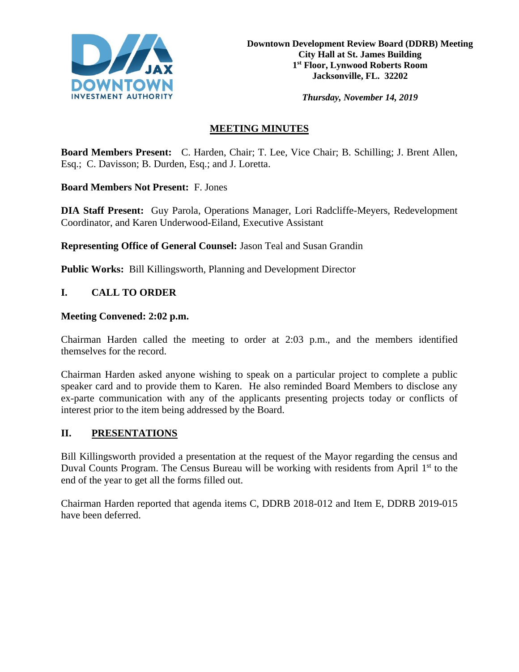

*Thursday, November 14, 2019*

## **MEETING MINUTES**

**Board Members Present:** C. Harden, Chair; T. Lee, Vice Chair; B. Schilling; J. Brent Allen, Esq.; C. Davisson; B. Durden, Esq.; and J. Loretta.

**Board Members Not Present:** F. Jones

**DIA Staff Present:** Guy Parola, Operations Manager, Lori Radcliffe-Meyers, Redevelopment Coordinator, and Karen Underwood-Eiland, Executive Assistant

**Representing Office of General Counsel:** Jason Teal and Susan Grandin

**Public Works:** Bill Killingsworth, Planning and Development Director

### **I. CALL TO ORDER**

#### **Meeting Convened: 2:02 p.m.**

Chairman Harden called the meeting to order at 2:03 p.m., and the members identified themselves for the record.

Chairman Harden asked anyone wishing to speak on a particular project to complete a public speaker card and to provide them to Karen. He also reminded Board Members to disclose any ex-parte communication with any of the applicants presenting projects today or conflicts of interest prior to the item being addressed by the Board.

### **II. PRESENTATIONS**

Bill Killingsworth provided a presentation at the request of the Mayor regarding the census and Duval Counts Program. The Census Bureau will be working with residents from April 1<sup>st</sup> to the end of the year to get all the forms filled out.

Chairman Harden reported that agenda items C, DDRB 2018-012 and Item E, DDRB 2019-015 have been deferred.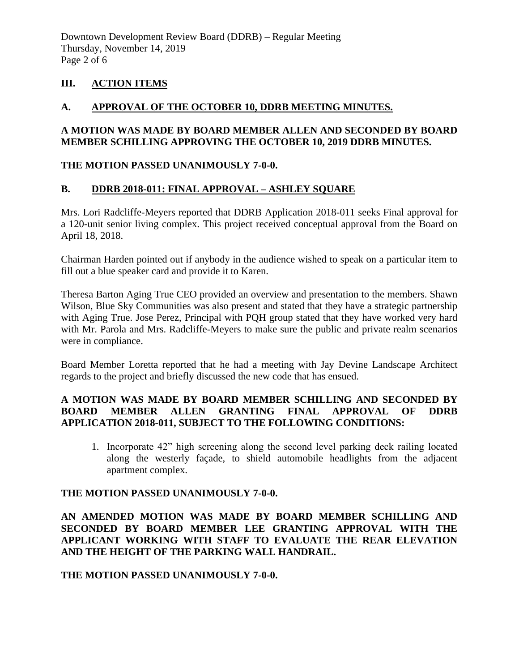Downtown Development Review Board (DDRB) – Regular Meeting Thursday, November 14, 2019 Page 2 of 6

### **III. ACTION ITEMS**

#### **A. APPROVAL OF THE OCTOBER 10, DDRB MEETING MINUTES.**

### **A MOTION WAS MADE BY BOARD MEMBER ALLEN AND SECONDED BY BOARD MEMBER SCHILLING APPROVING THE OCTOBER 10, 2019 DDRB MINUTES.**

#### **THE MOTION PASSED UNANIMOUSLY 7-0-0.**

### **B. DDRB 2018-011: FINAL APPROVAL – ASHLEY SQUARE**

Mrs. Lori Radcliffe-Meyers reported that DDRB Application 2018-011 seeks Final approval for a 120-unit senior living complex. This project received conceptual approval from the Board on April 18, 2018.

Chairman Harden pointed out if anybody in the audience wished to speak on a particular item to fill out a blue speaker card and provide it to Karen.

Theresa Barton Aging True CEO provided an overview and presentation to the members. Shawn Wilson, Blue Sky Communities was also present and stated that they have a strategic partnership with Aging True. Jose Perez, Principal with PQH group stated that they have worked very hard with Mr. Parola and Mrs. Radcliffe-Meyers to make sure the public and private realm scenarios were in compliance.

Board Member Loretta reported that he had a meeting with Jay Devine Landscape Architect regards to the project and briefly discussed the new code that has ensued.

### **A MOTION WAS MADE BY BOARD MEMBER SCHILLING AND SECONDED BY BOARD MEMBER ALLEN GRANTING FINAL APPROVAL OF DDRB APPLICATION 2018-011, SUBJECT TO THE FOLLOWING CONDITIONS:**

1. Incorporate 42" high screening along the second level parking deck railing located along the westerly façade, to shield automobile headlights from the adjacent apartment complex.

#### **THE MOTION PASSED UNANIMOUSLY 7-0-0.**

### **AN AMENDED MOTION WAS MADE BY BOARD MEMBER SCHILLING AND SECONDED BY BOARD MEMBER LEE GRANTING APPROVAL WITH THE APPLICANT WORKING WITH STAFF TO EVALUATE THE REAR ELEVATION AND THE HEIGHT OF THE PARKING WALL HANDRAIL.**

#### **THE MOTION PASSED UNANIMOUSLY 7-0-0.**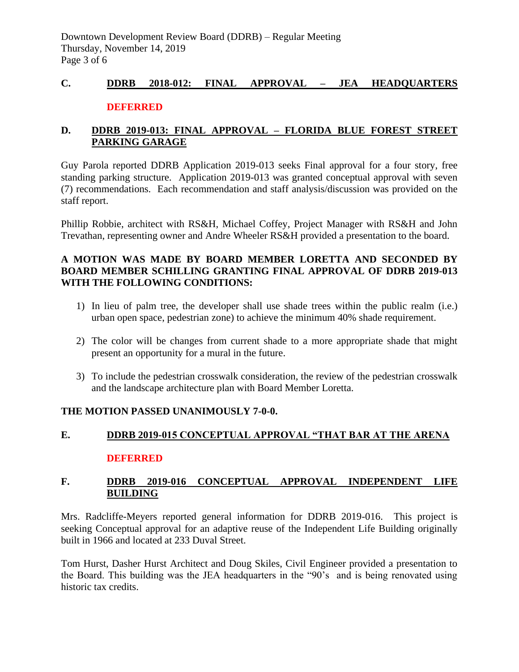# **C. DDRB 2018-012: FINAL APPROVAL – JEA HEADQUARTERS DEFERRED**

# **D. DDRB 2019-013: FINAL APPROVAL – FLORIDA BLUE FOREST STREET PARKING GARAGE**

Guy Parola reported DDRB Application 2019-013 seeks Final approval for a four story, free standing parking structure. Application 2019-013 was granted conceptual approval with seven (7) recommendations. Each recommendation and staff analysis/discussion was provided on the staff report.

Phillip Robbie, architect with RS&H, Michael Coffey, Project Manager with RS&H and John Trevathan, representing owner and Andre Wheeler RS&H provided a presentation to the board.

### **A MOTION WAS MADE BY BOARD MEMBER LORETTA AND SECONDED BY BOARD MEMBER SCHILLING GRANTING FINAL APPROVAL OF DDRB 2019-013 WITH THE FOLLOWING CONDITIONS:**

- 1) In lieu of palm tree, the developer shall use shade trees within the public realm (i.e.) urban open space, pedestrian zone) to achieve the minimum 40% shade requirement.
- 2) The color will be changes from current shade to a more appropriate shade that might present an opportunity for a mural in the future.
- 3) To include the pedestrian crosswalk consideration, the review of the pedestrian crosswalk and the landscape architecture plan with Board Member Loretta.

# **THE MOTION PASSED UNANIMOUSLY 7-0-0.**

# **E. DDRB 2019-015 CONCEPTUAL APPROVAL "THAT BAR AT THE ARENA DEFERRED**

# **F. DDRB 2019-016 CONCEPTUAL APPROVAL INDEPENDENT LIFE BUILDING**

Mrs. Radcliffe-Meyers reported general information for DDRB 2019-016. This project is seeking Conceptual approval for an adaptive reuse of the Independent Life Building originally built in 1966 and located at 233 Duval Street.

Tom Hurst, Dasher Hurst Architect and Doug Skiles, Civil Engineer provided a presentation to the Board. This building was the JEA headquarters in the "90's and is being renovated using historic tax credits.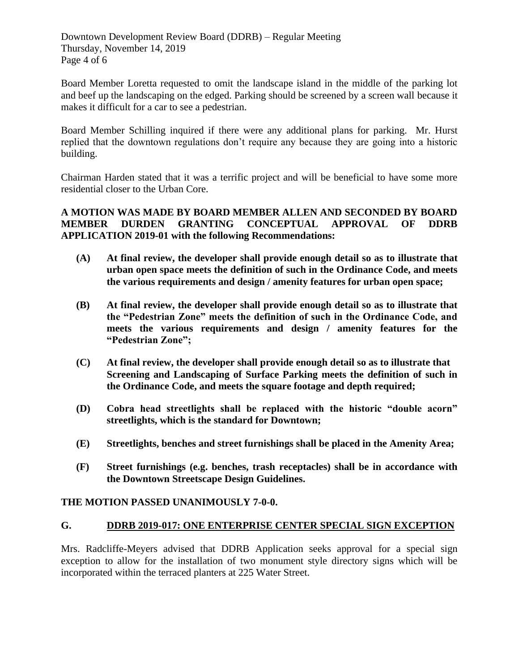Downtown Development Review Board (DDRB) – Regular Meeting Thursday, November 14, 2019 Page 4 of 6

Board Member Loretta requested to omit the landscape island in the middle of the parking lot and beef up the landscaping on the edged. Parking should be screened by a screen wall because it makes it difficult for a car to see a pedestrian.

Board Member Schilling inquired if there were any additional plans for parking. Mr. Hurst replied that the downtown regulations don't require any because they are going into a historic building.

Chairman Harden stated that it was a terrific project and will be beneficial to have some more residential closer to the Urban Core.

**A MOTION WAS MADE BY BOARD MEMBER ALLEN AND SECONDED BY BOARD MEMBER DURDEN GRANTING CONCEPTUAL APPROVAL OF DDRB APPLICATION 2019-01 with the following Recommendations:**

- **(A) At final review, the developer shall provide enough detail so as to illustrate that urban open space meets the definition of such in the Ordinance Code, and meets the various requirements and design / amenity features for urban open space;**
- **(B) At final review, the developer shall provide enough detail so as to illustrate that the "Pedestrian Zone" meets the definition of such in the Ordinance Code, and meets the various requirements and design / amenity features for the "Pedestrian Zone";**
- **(C) At final review, the developer shall provide enough detail so as to illustrate that Screening and Landscaping of Surface Parking meets the definition of such in the Ordinance Code, and meets the square footage and depth required;**
- **(D) Cobra head streetlights shall be replaced with the historic "double acorn" streetlights, which is the standard for Downtown;**
- **(E) Streetlights, benches and street furnishings shall be placed in the Amenity Area;**
- **(F) Street furnishings (e.g. benches, trash receptacles) shall be in accordance with the Downtown Streetscape Design Guidelines.**

### **THE MOTION PASSED UNANIMOUSLY 7-0-0.**

#### **G. DDRB 2019-017: ONE ENTERPRISE CENTER SPECIAL SIGN EXCEPTION**

Mrs. Radcliffe-Meyers advised that DDRB Application seeks approval for a special sign exception to allow for the installation of two monument style directory signs which will be incorporated within the terraced planters at 225 Water Street.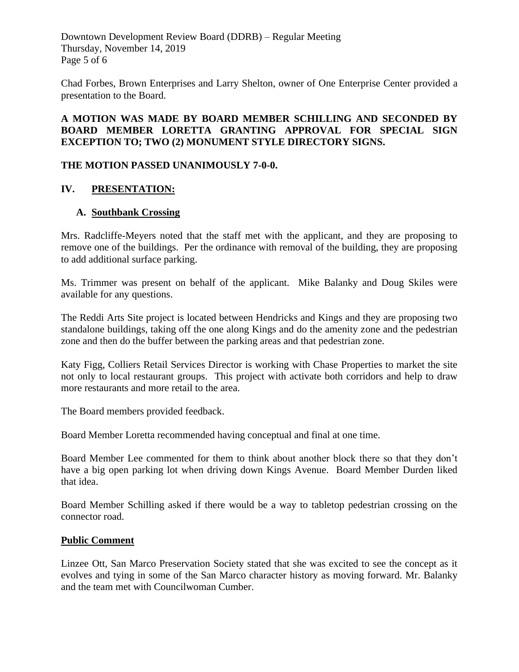Downtown Development Review Board (DDRB) – Regular Meeting Thursday, November 14, 2019 Page 5 of 6

Chad Forbes, Brown Enterprises and Larry Shelton, owner of One Enterprise Center provided a presentation to the Board.

#### **A MOTION WAS MADE BY BOARD MEMBER SCHILLING AND SECONDED BY BOARD MEMBER LORETTA GRANTING APPROVAL FOR SPECIAL SIGN EXCEPTION TO; TWO (2) MONUMENT STYLE DIRECTORY SIGNS.**

#### **THE MOTION PASSED UNANIMOUSLY 7-0-0.**

### **IV. PRESENTATION:**

#### **A. Southbank Crossing**

Mrs. Radcliffe-Meyers noted that the staff met with the applicant, and they are proposing to remove one of the buildings. Per the ordinance with removal of the building, they are proposing to add additional surface parking.

Ms. Trimmer was present on behalf of the applicant. Mike Balanky and Doug Skiles were available for any questions.

The Reddi Arts Site project is located between Hendricks and Kings and they are proposing two standalone buildings, taking off the one along Kings and do the amenity zone and the pedestrian zone and then do the buffer between the parking areas and that pedestrian zone.

Katy Figg, Colliers Retail Services Director is working with Chase Properties to market the site not only to local restaurant groups. This project with activate both corridors and help to draw more restaurants and more retail to the area.

The Board members provided feedback.

Board Member Loretta recommended having conceptual and final at one time.

Board Member Lee commented for them to think about another block there so that they don't have a big open parking lot when driving down Kings Avenue. Board Member Durden liked that idea.

Board Member Schilling asked if there would be a way to tabletop pedestrian crossing on the connector road.

#### **Public Comment**

Linzee Ott, San Marco Preservation Society stated that she was excited to see the concept as it evolves and tying in some of the San Marco character history as moving forward. Mr. Balanky and the team met with Councilwoman Cumber.